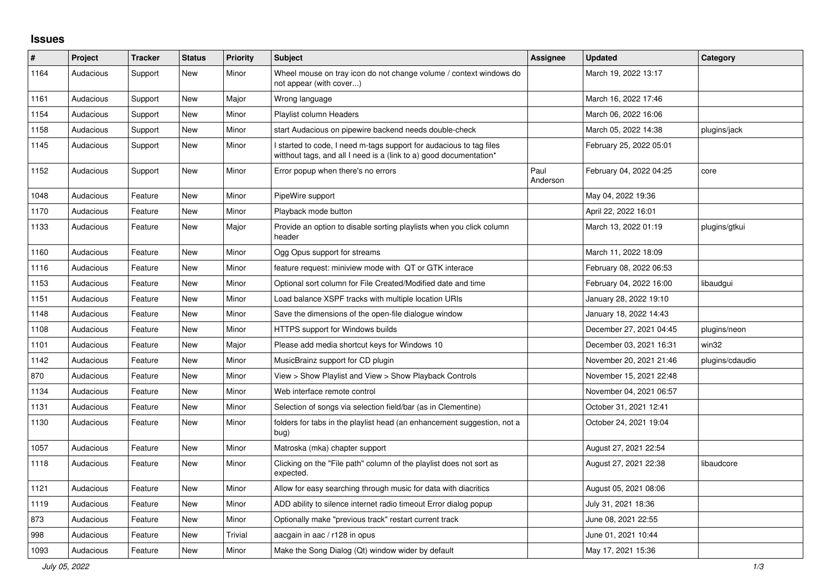## **Issues**

| ∦    | Project   | <b>Tracker</b> | <b>Status</b> | <b>Priority</b> | Subject                                                                                                                                   | Assignee         | <b>Updated</b>          | Category        |
|------|-----------|----------------|---------------|-----------------|-------------------------------------------------------------------------------------------------------------------------------------------|------------------|-------------------------|-----------------|
| 1164 | Audacious | Support        | <b>New</b>    | Minor           | Wheel mouse on tray icon do not change volume / context windows do<br>not appear (with cover)                                             |                  | March 19, 2022 13:17    |                 |
| 1161 | Audacious | Support        | New           | Major           | Wrong language                                                                                                                            |                  | March 16, 2022 17:46    |                 |
| 1154 | Audacious | Support        | New           | Minor           | Playlist column Headers                                                                                                                   |                  | March 06, 2022 16:06    |                 |
| 1158 | Audacious | Support        | <b>New</b>    | Minor           | start Audacious on pipewire backend needs double-check                                                                                    |                  | March 05, 2022 14:38    | plugins/jack    |
| 1145 | Audacious | Support        | New           | Minor           | I started to code, I need m-tags support for audacious to tag files<br>witthout tags, and all I need is a (link to a) good documentation* |                  | February 25, 2022 05:01 |                 |
| 1152 | Audacious | Support        | New           | Minor           | Error popup when there's no errors                                                                                                        | Paul<br>Anderson | February 04, 2022 04:25 | core            |
| 1048 | Audacious | Feature        | New           | Minor           | PipeWire support                                                                                                                          |                  | May 04, 2022 19:36      |                 |
| 1170 | Audacious | Feature        | New           | Minor           | Playback mode button                                                                                                                      |                  | April 22, 2022 16:01    |                 |
| 1133 | Audacious | Feature        | <b>New</b>    | Major           | Provide an option to disable sorting playlists when you click column<br>header                                                            |                  | March 13, 2022 01:19    | plugins/gtkui   |
| 1160 | Audacious | Feature        | <b>New</b>    | Minor           | Ogg Opus support for streams                                                                                                              |                  | March 11, 2022 18:09    |                 |
| 1116 | Audacious | Feature        | New           | Minor           | feature request: miniview mode with QT or GTK interace                                                                                    |                  | February 08, 2022 06:53 |                 |
| 1153 | Audacious | Feature        | <b>New</b>    | Minor           | Optional sort column for File Created/Modified date and time                                                                              |                  | February 04, 2022 16:00 | libaudgui       |
| 1151 | Audacious | Feature        | <b>New</b>    | Minor           | Load balance XSPF tracks with multiple location URIs                                                                                      |                  | January 28, 2022 19:10  |                 |
| 1148 | Audacious | Feature        | <b>New</b>    | Minor           | Save the dimensions of the open-file dialogue window                                                                                      |                  | January 18, 2022 14:43  |                 |
| 1108 | Audacious | Feature        | New           | Minor           | HTTPS support for Windows builds                                                                                                          |                  | December 27, 2021 04:45 | plugins/neon    |
| 1101 | Audacious | Feature        | New           | Major           | Please add media shortcut keys for Windows 10                                                                                             |                  | December 03, 2021 16:31 | win32           |
| 1142 | Audacious | Feature        | <b>New</b>    | Minor           | MusicBrainz support for CD plugin                                                                                                         |                  | November 20, 2021 21:46 | plugins/cdaudio |
| 870  | Audacious | Feature        | <b>New</b>    | Minor           | View > Show Playlist and View > Show Playback Controls                                                                                    |                  | November 15, 2021 22:48 |                 |
| 1134 | Audacious | Feature        | New           | Minor           | Web interface remote control                                                                                                              |                  | November 04, 2021 06:57 |                 |
| 1131 | Audacious | Feature        | <b>New</b>    | Minor           | Selection of songs via selection field/bar (as in Clementine)                                                                             |                  | October 31, 2021 12:41  |                 |
| 1130 | Audacious | Feature        | New           | Minor           | folders for tabs in the playlist head (an enhancement suggestion, not a<br>bug)                                                           |                  | October 24, 2021 19:04  |                 |
| 1057 | Audacious | Feature        | <b>New</b>    | Minor           | Matroska (mka) chapter support                                                                                                            |                  | August 27, 2021 22:54   |                 |
| 1118 | Audacious | Feature        | New           | Minor           | Clicking on the "File path" column of the playlist does not sort as<br>expected.                                                          |                  | August 27, 2021 22:38   | libaudcore      |
| 1121 | Audacious | Feature        | <b>New</b>    | Minor           | Allow for easy searching through music for data with diacritics                                                                           |                  | August 05, 2021 08:06   |                 |
| 1119 | Audacious | Feature        | New           | Minor           | ADD ability to silence internet radio timeout Error dialog popup                                                                          |                  | July 31, 2021 18:36     |                 |
| 873  | Audacious | Feature        | New           | Minor           | Optionally make "previous track" restart current track                                                                                    |                  | June 08, 2021 22:55     |                 |
| 998  | Audacious | Feature        | New           | Trivial         | aacgain in aac / r128 in opus                                                                                                             |                  | June 01, 2021 10:44     |                 |
| 1093 | Audacious | Feature        | <b>New</b>    | Minor           | Make the Song Dialog (Qt) window wider by default                                                                                         |                  | May 17, 2021 15:36      |                 |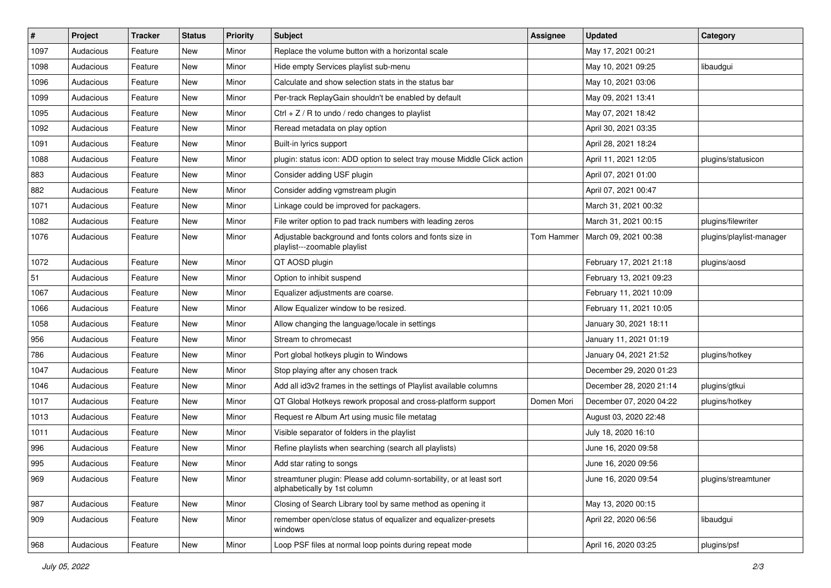| $\vert$ # | Project   | <b>Tracker</b> | <b>Status</b> | <b>Priority</b> | <b>Subject</b>                                                                                      | <b>Assignee</b> | <b>Updated</b>          | Category                 |
|-----------|-----------|----------------|---------------|-----------------|-----------------------------------------------------------------------------------------------------|-----------------|-------------------------|--------------------------|
| 1097      | Audacious | Feature        | New           | Minor           | Replace the volume button with a horizontal scale                                                   |                 | May 17, 2021 00:21      |                          |
| 1098      | Audacious | Feature        | <b>New</b>    | Minor           | Hide empty Services playlist sub-menu                                                               |                 | May 10, 2021 09:25      | libaudgui                |
| 1096      | Audacious | Feature        | New           | Minor           | Calculate and show selection stats in the status bar                                                |                 | May 10, 2021 03:06      |                          |
| 1099      | Audacious | Feature        | New           | Minor           | Per-track ReplayGain shouldn't be enabled by default                                                |                 | May 09, 2021 13:41      |                          |
| 1095      | Audacious | Feature        | <b>New</b>    | Minor           | Ctrl $+$ Z / R to undo / redo changes to playlist                                                   |                 | May 07, 2021 18:42      |                          |
| 1092      | Audacious | Feature        | New           | Minor           | Reread metadata on play option                                                                      |                 | April 30, 2021 03:35    |                          |
| 1091      | Audacious | Feature        | New           | Minor           | Built-in lyrics support                                                                             |                 | April 28, 2021 18:24    |                          |
| 1088      | Audacious | Feature        | New           | Minor           | plugin: status icon: ADD option to select tray mouse Middle Click action                            |                 | April 11, 2021 12:05    | plugins/statusicon       |
| 883       | Audacious | Feature        | New           | Minor           | Consider adding USF plugin                                                                          |                 | April 07, 2021 01:00    |                          |
| 882       | Audacious | Feature        | New           | Minor           | Consider adding vgmstream plugin                                                                    |                 | April 07, 2021 00:47    |                          |
| 1071      | Audacious | Feature        | New           | Minor           | Linkage could be improved for packagers.                                                            |                 | March 31, 2021 00:32    |                          |
| 1082      | Audacious | Feature        | New           | Minor           | File writer option to pad track numbers with leading zeros                                          |                 | March 31, 2021 00:15    | plugins/filewriter       |
| 1076      | Audacious | Feature        | New           | Minor           | Adjustable background and fonts colors and fonts size in<br>playlist---zoomable playlist            | Tom Hammer      | March 09, 2021 00:38    | plugins/playlist-manager |
| 1072      | Audacious | Feature        | New           | Minor           | QT AOSD plugin                                                                                      |                 | February 17, 2021 21:18 | plugins/aosd             |
| 51        | Audacious | Feature        | New           | Minor           | Option to inhibit suspend                                                                           |                 | February 13, 2021 09:23 |                          |
| 1067      | Audacious | Feature        | New           | Minor           | Equalizer adjustments are coarse.                                                                   |                 | February 11, 2021 10:09 |                          |
| 1066      | Audacious | Feature        | New           | Minor           | Allow Equalizer window to be resized.                                                               |                 | February 11, 2021 10:05 |                          |
| 1058      | Audacious | Feature        | New           | Minor           | Allow changing the language/locale in settings                                                      |                 | January 30, 2021 18:11  |                          |
| 956       | Audacious | Feature        | New           | Minor           | Stream to chromecast                                                                                |                 | January 11, 2021 01:19  |                          |
| 786       | Audacious | Feature        | New           | Minor           | Port global hotkeys plugin to Windows                                                               |                 | January 04, 2021 21:52  | plugins/hotkey           |
| 1047      | Audacious | Feature        | New           | Minor           | Stop playing after any chosen track                                                                 |                 | December 29, 2020 01:23 |                          |
| 1046      | Audacious | Feature        | <b>New</b>    | Minor           | Add all id3v2 frames in the settings of Playlist available columns                                  |                 | December 28, 2020 21:14 | plugins/gtkui            |
| 1017      | Audacious | Feature        | New           | Minor           | QT Global Hotkeys rework proposal and cross-platform support                                        | Domen Mori      | December 07, 2020 04:22 | plugins/hotkey           |
| 1013      | Audacious | Feature        | New           | Minor           | Request re Album Art using music file metatag                                                       |                 | August 03, 2020 22:48   |                          |
| 1011      | Audacious | Feature        | New           | Minor           | Visible separator of folders in the playlist                                                        |                 | July 18, 2020 16:10     |                          |
| 996       | Audacious | Feature        | New           | Minor           | Refine playlists when searching (search all playlists)                                              |                 | June 16, 2020 09:58     |                          |
| 995       | Audacious | Feature        | <b>New</b>    | Minor           | Add star rating to songs                                                                            |                 | June 16, 2020 09:56     |                          |
| 969       | Audacious | Feature        | New           | Minor           | streamtuner plugin: Please add column-sortability, or at least sort<br>alphabetically by 1st column |                 | June 16, 2020 09:54     | plugins/streamtuner      |
| 987       | Audacious | Feature        | New           | Minor           | Closing of Search Library tool by same method as opening it                                         |                 | May 13, 2020 00:15      |                          |
| 909       | Audacious | Feature        | New           | Minor           | remember open/close status of equalizer and equalizer-presets<br>windows                            |                 | April 22, 2020 06:56    | libaudgui                |
| 968       | Audacious | Feature        | New           | Minor           | Loop PSF files at normal loop points during repeat mode                                             |                 | April 16, 2020 03:25    | plugins/psf              |